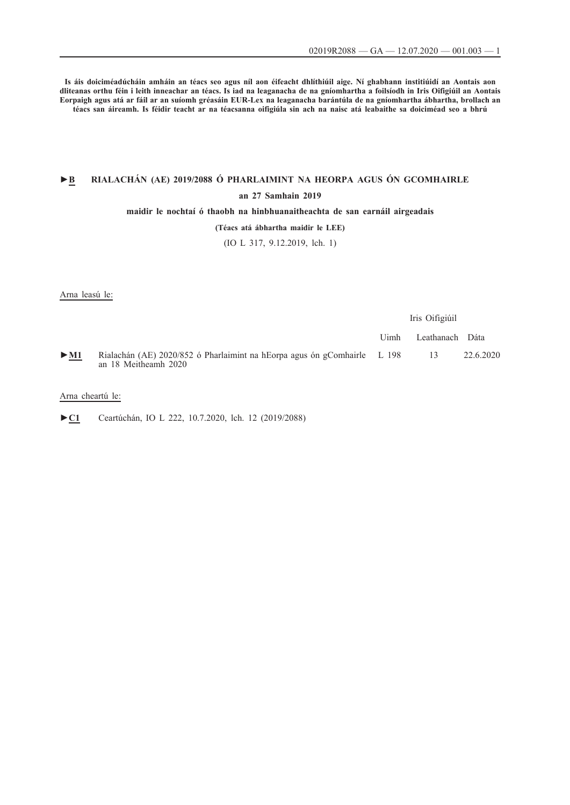**Is áis doiciméadúcháin amháin an téacs seo agus níl aon éifeacht dhlíthiúil aige. Ní ghabhann institiúidí an Aontais aon dliteanas orthu féin i leith inneachar an téacs. Is iad na leaganacha de na gníomhartha a foilsíodh in Iris Oifigiúil an Aontais Eorpaigh agus atá ar fáil ar an suíomh gréasáin EUR-Lex na leaganacha barántúla de na gníomhartha ábhartha, brollach an téacs san áireamh. Is féidir teacht ar na téacsanna oifigiúla sin ach na naisc atá leabaithe sa doiciméad seo a bhrú**

# **►B [RIALACHÁN \(AE\) 2019/2088 Ó PHARLAIMINT NA HEORPA AGUS ÓN GCOMHAIRLE](http://data.europa.eu/eli/reg/2019/2088/oj/gle) [an 27 Samhain 2019](http://data.europa.eu/eli/reg/2019/2088/oj/gle)**

## **[maidir le nochtaí ó thaobh na hinbhuanaitheachta de san earnáil airgeadais](http://data.europa.eu/eli/reg/2019/2088/oj/gle)**

## **[\(Téacs atá ábhartha maidir le LEE\)](http://data.europa.eu/eli/reg/2019/2088/oj/gle)**

[\(IO L 317, 9.12.2019, lch. 1\)](http://data.europa.eu/eli/reg/2019/2088/oj/gle)

Arna leasú le:

|                            |                                                                                                  | Iris Oifigiúil |                 |           |
|----------------------------|--------------------------------------------------------------------------------------------------|----------------|-----------------|-----------|
|                            |                                                                                                  | Uimh           | Leathanach Dáta |           |
| $\triangleright$ <u>M1</u> | Rialachán (AE) 2020/852 ó Pharlaimint na hEorpa agus ón gComhairle L 198<br>an 18 Meitheamh 2020 |                | - 13            | 22.6.2020 |

## Arna cheartú le:

[►](http://data.europa.eu/eli/reg/2019/2088/corrigendum/2020-07-10/oj/gle)**[C1](http://data.europa.eu/eli/reg/2019/2088/corrigendum/2020-07-10/oj/gle)** [Ceartúchán, IO L 222, 10.7.2020, lch. 12 \(2019/2088\)](http://data.europa.eu/eli/reg/2019/2088/corrigendum/2020-07-10/oj/gle)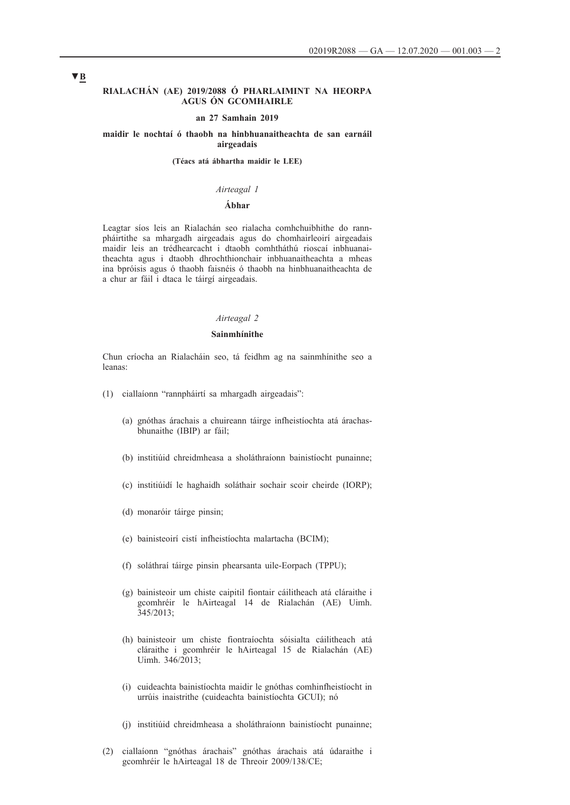### **RIALACHÁN (AE) 2019/2088 Ó PHARLAIMINT NA HEORPA AGUS ÓN GCOMHAIRLE**

#### **an 27 Samhain 2019**

### **maidir le nochtaí ó thaobh na hinbhuanaitheachta de san earnáil airgeadais**

**(Téacs atá ábhartha maidir le LEE)**

### *Airteagal 1*

## **Ábhar**

Leagtar síos leis an Rialachán seo rialacha comhchuibhithe do rannpháirtithe sa mhargadh airgeadais agus do chomhairleoirí airgeadais maidir leis an trédhearcacht i dtaobh comhtháthú rioscaí inbhuanaitheachta agus i dtaobh dhrochthionchair inbhuanaitheachta a mheas ina bpróisis agus ó thaobh faisnéis ó thaobh na hinbhuanaitheachta de a chur ar fáil i dtaca le táirgí airgeadais.

### *Airteagal 2*

#### **Sainmhínithe**

Chun críocha an Rialacháin seo, tá feidhm ag na sainmhínithe seo a leanas:

- (1) ciallaíonn "rannpháirtí sa mhargadh airgeadais":
	- (a) gnóthas árachais a chuireann táirge infheistíochta atá árachasbhunaithe (IBIP) ar fáil;
	- (b) institiúid chreidmheasa a sholáthraíonn bainistíocht punainne;
	- (c) institiúidí le haghaidh soláthair sochair scoir cheirde (IORP);
	- (d) monaróir táirge pinsin;
	- (e) bainisteoirí cistí infheistíochta malartacha (BCIM);
	- (f) soláthraí táirge pinsin phearsanta uile-Eorpach (TPPU);
	- (g) bainisteoir um chiste caipitil fiontair cáilitheach atá cláraithe i gcomhréir le hAirteagal 14 de Rialachán (AE) Uimh. 345/2013;
	- (h) bainisteoir um chiste fiontraíochta sóisialta cáilitheach atá cláraithe i gcomhréir le hAirteagal 15 de Rialachán (AE) Uimh. 346/2013;
	- (i) cuideachta bainistíochta maidir le gnóthas comhinfheistíocht in urrúis inaistrithe (cuideachta bainistíochta GCUI); nó
	- (j) institiúid chreidmheasa a sholáthraíonn bainistíocht punainne;
- (2) ciallaíonn "gnóthas árachais" gnóthas árachais atá údaraithe i gcomhréir le hAirteagal 18 de Threoir 2009/138/CE;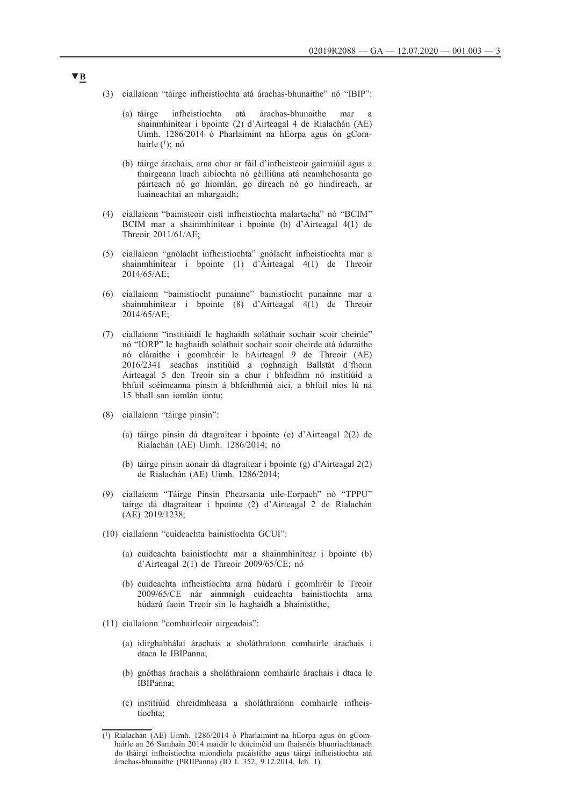- (3) ciallaíonn "táirge infheistíochta atá árachas-bhunaithe" nó "IBIP":
	- (a) táirge infheistíochta atá árachas-bhunaithe mar a shainmhínítear i bpointe (2) d'Airteagal 4 de Rialachán (AE) Uimh. 1286/2014 ó Pharlaimint na hEorpa agus ón gComhairle  $(1)$ ; nó
	- (b) táirge árachais, arna chur ar fáil d'infheisteoir gairmiúil agus a thairgeann luach aibíochta nó géilliúna atá neamhchosanta go páirteach nó go hiomlán, go díreach nó go hindíreach, ar luaineachtaí an mhargaidh;
- (4) ciallaíonn "bainisteoir cistí infheistíochta malartacha" nó "BCIM" BCIM mar a shainmhínítear i bpointe (b) d'Airteagal 4(1) de Threoir 2011/61/AE;
- (5) ciallaíonn "gnólacht infheistíochta" gnólacht infheistíochta mar a shainmhínítear i bpointe (1) d'Airteagal 4(1) de Threoir 2014/65/AE;
- (6) ciallaíonn "bainistíocht punainne" bainistíocht punainne mar a shainmhínítear i bpointe (8) d'Airteagal 4(1) de Threoir 2014/65/AE;
- (7) ciallaíonn "institiúidí le haghaidh soláthair sochair scoir cheirde" nó "IORP" le haghaidh soláthair sochair scoir cheirde atá údaraithe nó cláraithe i gcomhréir le hAirteagal 9 de Threoir (AE) 2016/2341 seachas institiúid a roghnaigh Ballstát d'fhonn Airteagal 5 den Treoir sin a chur i bhfeidhm nó institiúid a bhfuil scéimeanna pinsin á bhfeidhmiú aici, a bhfuil níos lú ná 15 bhall san iomlán iontu;
- (8) ciallaíonn "táirge pinsin":
	- (a) táirge pinsin dá dtagraítear i bpointe (e) d'Airteagal 2(2) de Rialachán (AE) Uimh. 1286/2014; nó
	- (b) táirge pinsin aonair dá dtagraítear i bpointe (g) d'Airteagal 2(2) de Rialachán (AE) Uimh. 1286/2014;
- (9) ciallaíonn "Táirge Pinsin Phearsanta uile-Eorpach" nó "TPPU" táirge dá dtagraítear i bpointe (2) d'Airteagal 2 de Rialachán (AE) 2019/1238;
- (10) ciallaíonn "cuideachta bainistíochta GCUI":
	- (a) cuideachta bainistíochta mar a shainmhínítear i bpointe (b) d'Airteagal 2(1) de Threoir 2009/65/CE; nó
	- (b) cuideachta infheistíochta arna húdarú i gcomhréir le Treoir 2009/65/CE nár ainmnigh cuideachta bainistíochta arna húdarú faoin Treoir sin le haghaidh a bhainistithe;
- (11) ciallaíonn "comhairleoir airgeadais":
	- (a) idirghabhálaí árachais a sholáthraíonn comhairle árachais i dtaca le IBIPanna;
	- (b) gnóthas árachais a sholáthraíonn comhairle árachais i dtaca le IBIPanna;
	- (c) institiúid chreidmheasa a sholáthraíonn comhairle infheistíochta;

<sup>(1)</sup> Rialachán (AE) Uimh. 1286/2014 ó Pharlaimint na hEorpa agus ón gComhairle an 26 Samhain 2014 maidir le doiciméid um fhaisnéis bhunriachtanach do tháirgí infheistíochta miondíola pacáistithe agus táirgí infheistíochta atá árachas-bhunaithe (PRIIPanna) (IO L 352, 9.12.2014, lch. 1).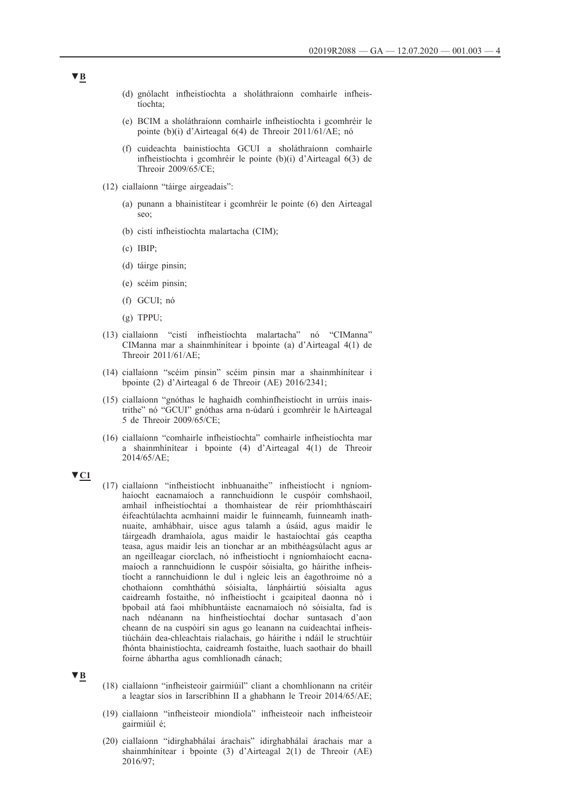- (d) gnólacht infheistíochta a sholáthraíonn comhairle infheistíochta;
- (e) BCIM a sholáthraíonn comhairle infheistíochta i gcomhréir le pointe (b)(i) d'Airteagal 6(4) de Threoir 2011/61/AE; nó
- (f) cuideachta bainistíochta GCUI a sholáthraíonn comhairle infheistíochta i gcomhréir le pointe (b)(i) d'Airteagal 6(3) de Threoir 2009/65/CE;
- (12) ciallaíonn "táirge airgeadais":
	- (a) punann a bhainistítear i gcomhréir le pointe (6) den Airteagal seo;
	- (b) cistí infheistíochta malartacha (CIM);
	- (c) IBIP;
	- (d) táirge pinsin;
	- (e) scéim pinsin;
	- (f) GCUI; nó
	- (g) TPPU;
- (13) ciallaíonn "cistí infheistíochta malartacha" nó "CIManna" CIManna mar a shainmhínítear i bpointe (a) d'Airteagal 4(1) de Threoir 2011/61/AE;
- (14) ciallaíonn "scéim pinsin" scéim pinsin mar a shainmhínítear i bpointe (2) d'Airteagal 6 de Threoir (AE) 2016/2341;
- (15) ciallaíonn "gnóthas le haghaidh comhinfheistíocht in urrúis inaistrithe" nó "GCUI" gnóthas arna n-údarú i gcomhréir le hAirteagal 5 de Threoir 2009/65/CE;
- (16) ciallaíonn "comhairle infheistíochta" comhairle infheistíochta mar a shainmhínítear i bpointe (4) d'Airteagal 4(1) de Threoir 2014/65/AE;
- **▼C1**
- (17) ciallaíonn "infheistíocht inbhuanaithe" infheistíocht i ngníomhaíocht eacnamaíoch a rannchuidíonn le cuspóir comhshaoil, amhail infheistíochtaí a thomhaistear de réir príomhtháscairí éifeachtúlachta acmhainní maidir le fuinneamh, fuinneamh inathnuaite, amhábhair, uisce agus talamh a úsáid, agus maidir le táirgeadh dramhaíola, agus maidir le hastaíochtaí gás ceaptha teasa, agus maidir leis an tionchar ar an mbithéagsúlacht agus ar an ngeilleagar ciorclach, nó infheistíocht i ngníomhaíocht eacnamaíoch a rannchuidíonn le cuspóir sóisialta, go háirithe infheistíocht a rannchuidíonn le dul i ngleic leis an éagothroime nó a chothaíonn comhtháthú sóisialta, lánpháirtiú sóisialta agus caidreamh fostaithe, nó infheistíocht i gcaipiteal daonna nó i bpobail atá faoi mhíbhuntáiste eacnamaíoch nó sóisialta, fad is nach ndéanann na hinfheistíochtaí dochar suntasach d'aon cheann de na cuspóirí sin agus go leanann na cuideachtaí infheistiúcháin dea-chleachtais rialachais, go háirithe i ndáil le struchtúir fhónta bhainistíochta, caidreamh fostaithe, luach saothair do bhaill foirne ábhartha agus comhlíonadh cánach;

## **▼B**

- (18) ciallaíonn "infheisteoir gairmiúil" cliant a chomhlíonann na critéir a leagtar síos in Iarscríbhinn II a ghabhann le Treoir 2014/65/AE;
- (19) ciallaíonn "infheisteoir miondíola" infheisteoir nach infheisteoir gairmiúil é;
- (20) ciallaíonn "idirghabhálaí árachais" idirghabhálaí árachais mar a shainmhínítear i bpointe (3) d'Airteagal 2(1) de Threoir (AE) 2016/97;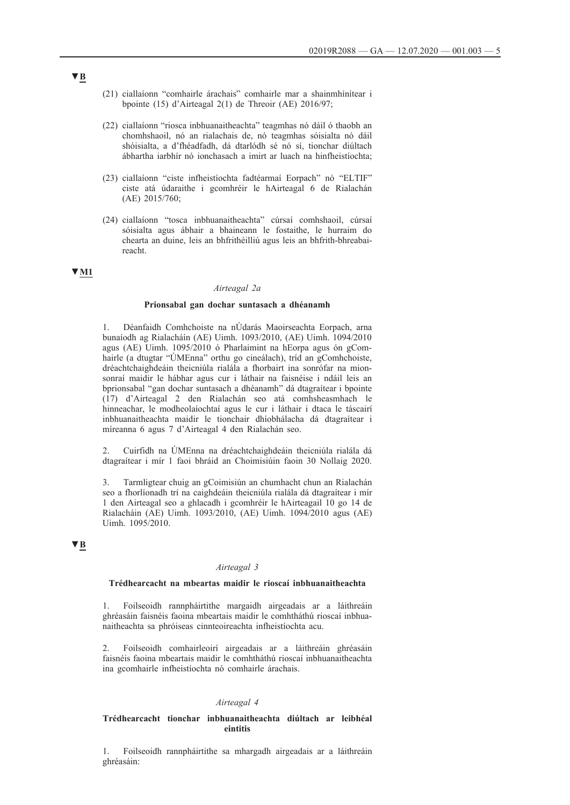- (21) ciallaíonn "comhairle árachais" comhairle mar a shainmhínítear i bpointe (15) d'Airteagal 2(1) de Threoir (AE) 2016/97;
- (22) ciallaíonn "riosca inbhuanaitheachta" teagmhas nó dáil ó thaobh an chomhshaoil, nó an rialachais de, nó teagmhas sóisialta nó dáil shóisialta, a d'fhéadfadh, dá dtarlódh sé nó sí, tionchar diúltach ábhartha iarbhír nó ionchasach a imirt ar luach na hinfheistíochta;
- (23) ciallaíonn "ciste infheistíochta fadtéarmaí Eorpach" nó "ELTIF" ciste atá údaraithe i gcomhréir le hAirteagal 6 de Rialachán (AE) 2015/760;
- (24) ciallaíonn "tosca inbhuanaitheachta" cúrsaí comhshaoil, cúrsaí sóisialta agus ábhair a bhaineann le fostaithe, le hurraim do chearta an duine, leis an bhfrithéilliú agus leis an bhfrith-bhreabaireacht.

## **▼M1**

## *Airteagal 2a*

### **Prionsabal gan dochar suntasach a dhéanamh**

1. Déanfaidh Comhchoiste na nÚdarás Maoirseachta Eorpach, arna bunaíodh ag Rialacháín (AE) Uimh. 1093/2010, (AE) Uimh. 1094/2010 agus (AE) Uimh. 1095/2010 ó Pharlaimint na hEorpa agus ón gComhairle (a dtugtar "ÚMEnna" orthu go cineálach), tríd an gComhchoiste, dréachtchaighdeáin theicniúla rialála a fhorbairt ina sonrófar na mionsonraí maidir le hábhar agus cur i láthair na faisnéise i ndáil leis an bprionsabal "gan dochar suntasach a dhéanamh" dá dtagraítear i bpointe (17) d'Airteagal 2 den Rialachán seo atá comhsheasmhach le hinneachar, le modheolaíochtaí agus le cur i láthair i dtaca le táscairí inbhuanaitheachta maidir le tionchair dhíobhálacha dá dtagraítear i míreanna 6 agus 7 d'Airteagal 4 den Rialachán seo.

2. Cuirfidh na ÚMEnna na dréachtchaighdeáin theicniúla rialála dá dtagraítear i mír 1 faoi bhráid an Choimisiúin faoin 30 Nollaig 2020.

3. Tarmligtear chuig an gCoimisiún an chumhacht chun an Rialachán seo a fhorlíonadh trí na caighdeáin theicniúla rialála dá dtagraítear i mír 1 den Airteagal seo a ghlacadh i gcomhréir le hAirteagail 10 go 14 de Rialacháin (AE) Uimh. 1093/2010, (AE) Uimh. 1094/2010 agus (AE) Uimh. 1095/2010.

## **▼B**

#### *Airteagal 3*

### **Trédhearcacht na mbeartas maidir le rioscaí inbhuanaitheachta**

1. Foilseoidh rannpháirtithe margaidh airgeadais ar a láithreáin ghréasáin faisnéis faoina mbeartais maidir le comhtháthú rioscaí inbhuanaitheachta sa phróiseas cinnteoireachta infheistíochta acu.

2. Foilseoidh comhairleoirí airgeadais ar a láithreáin ghréasáin faisnéis faoina mbeartais maidir le comhtháthú rioscaí inbhuanaitheachta ina gcomhairle infheistíochta nó comhairle árachais.

#### *Airteagal 4*

### **Trédhearcacht tionchar inbhuanaitheachta diúltach ar leibhéal eintitis**

1. Foilseoidh rannpháirtithe sa mhargadh airgeadais ar a láithreáin ghréasáin: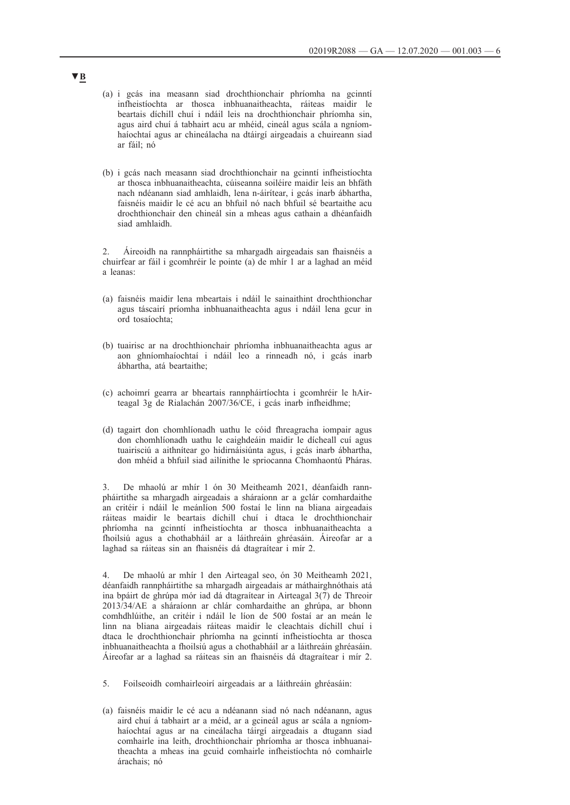- (a) i gcás ina measann siad drochthionchair phríomha na gcinntí infheistíochta ar thosca inbhuanaitheachta, ráiteas maidir le beartais díchill chuí i ndáil leis na drochthionchair phríomha sin, agus aird chuí á tabhairt acu ar mhéid, cineál agus scála a ngníomhaíochtaí agus ar chineálacha na dtáirgí airgeadais a chuireann siad ar fáil; nó
- (b) i gcás nach measann siad drochthionchair na gcinntí infheistíochta ar thosca inbhuanaitheachta, cúiseanna soiléire maidir leis an bhfáth nach ndéanann siad amhlaidh, lena n-áirítear, i gcás inarb ábhartha, faisnéis maidir le cé acu an bhfuil nó nach bhfuil sé beartaithe acu drochthionchair den chineál sin a mheas agus cathain a dhéanfaidh siad amhlaidh.

2. Áireoidh na rannpháirtithe sa mhargadh airgeadais san fhaisnéis a chuirfear ar fáil i gcomhréir le pointe (a) de mhír 1 ar a laghad an méid a leanas:

- (a) faisnéis maidir lena mbeartais i ndáil le sainaithint drochthionchar agus táscairí príomha inbhuanaitheachta agus i ndáil lena gcur in ord tosaíochta;
- (b) tuairisc ar na drochthionchair phríomha inbhuanaitheachta agus ar aon ghníomhaíochtaí i ndáil leo a rinneadh nó, i gcás inarb ábhartha, atá beartaithe;
- (c) achoimrí gearra ar bheartais rannpháirtíochta i gcomhréir le hAirteagal 3g de Rialachán 2007/36/CE, i gcás inarb infheidhme;
- (d) tagairt don chomhlíonadh uathu le cóid fhreagracha iompair agus don chomhlíonadh uathu le caighdeáin maidir le dícheall cuí agus tuairisciú a aithnítear go hidirnáisiúnta agus, i gcás inarb ábhartha, don mhéid a bhfuil siad ailínithe le spriocanna Chomhaontú Pháras.

3. De mhaolú ar mhír 1 ón 30 Meitheamh 2021, déanfaidh rannpháirtithe sa mhargadh airgeadais a sháraíonn ar a gclár comhardaithe an critéir i ndáil le meánlíon 500 fostaí le linn na bliana airgeadais ráiteas maidir le beartais díchill chuí i dtaca le drochthionchair phríomha na gcinntí infheistíochta ar thosca inbhuanaitheachta a fhoilsiú agus a chothabháil ar a láithreáin ghréasáin. Áireofar ar a laghad sa ráiteas sin an fhaisnéis dá dtagraítear i mír 2.

4. De mhaolú ar mhír 1 den Airteagal seo, ón 30 Meitheamh 2021, déanfaidh rannpháirtithe sa mhargadh airgeadais ar máthairghnóthais atá ina bpáirt de ghrúpa mór iad dá dtagraítear in Airteagal 3(7) de Threoir 2013/34/AE a sháraíonn ar chlár comhardaithe an ghrúpa, ar bhonn comhdhlúithe, an critéir i ndáil le líon de 500 fostaí ar an meán le linn na bliana airgeadais ráiteas maidir le cleachtais díchill chuí i dtaca le drochthionchair phríomha na gcinntí infheistíochta ar thosca inbhuanaitheachta a fhoilsiú agus a chothabháil ar a láithreáin ghréasáin. Áireofar ar a laghad sa ráiteas sin an fhaisnéis dá dtagraítear i mír 2.

- 5. Foilseoidh comhairleoirí airgeadais ar a láithreáin ghréasáin:
- (a) faisnéis maidir le cé acu a ndéanann siad nó nach ndéanann, agus aird chuí á tabhairt ar a méid, ar a gcineál agus ar scála a ngníomhaíochtaí agus ar na cineálacha táirgí airgeadais a dtugann siad comhairle ina leith, drochthionchair phríomha ar thosca inbhuanaitheachta a mheas ina gcuid comhairle infheistíochta nó comhairle árachais; nó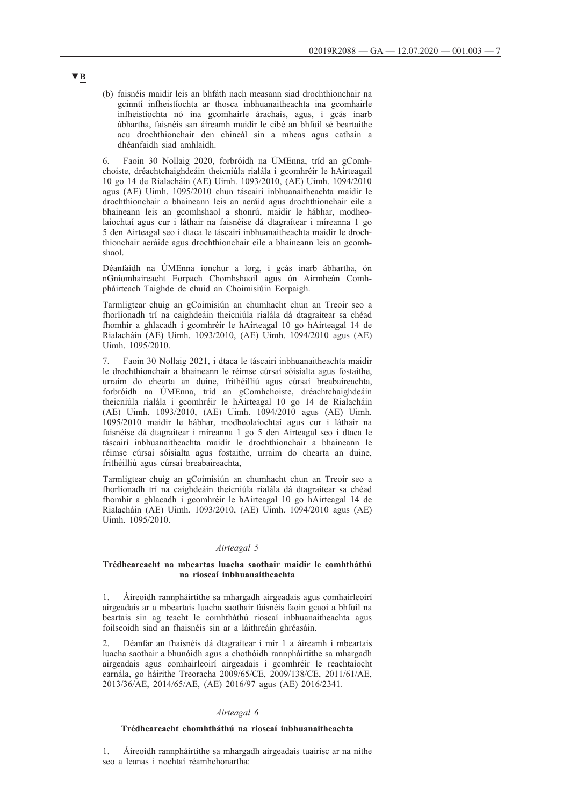(b) faisnéis maidir leis an bhfáth nach measann siad drochthionchair na gcinntí infheistíochta ar thosca inbhuanaitheachta ina gcomhairle infheistíochta nó ina gcomhairle árachais, agus, i gcás inarb ábhartha, faisnéis san áireamh maidir le cibé an bhfuil sé beartaithe acu drochthionchair den chineál sin a mheas agus cathain a dhéanfaidh siad amhlaidh.

6. Faoin 30 Nollaig 2020, forbróidh na ÚMEnna, tríd an gComhchoiste, dréachtchaighdeáin theicniúla rialála i gcomhréir le hAirteagail 10 go 14 de Rialacháin (AE) Uimh. 1093/2010, (AE) Uimh. 1094/2010 agus (AE) Uimh. 1095/2010 chun táscairí inbhuanaitheachta maidir le drochthionchair a bhaineann leis an aeráid agus drochthionchair eile a bhaineann leis an gcomhshaol a shonrú, maidir le hábhar, modheolaíochtaí agus cur i láthair na faisnéise dá dtagraítear i míreanna 1 go 5 den Airteagal seo i dtaca le táscairí inbhuanaitheachta maidir le drochthionchair aeráide agus drochthionchair eile a bhaineann leis an gcomhshaol.

Déanfaidh na ÚMEnna ionchur a lorg, i gcás inarb ábhartha, ón nGníomhaireacht Eorpach Chomhshaoil agus ón Airmheán Comhpháirteach Taighde de chuid an Choimisiúin Eorpaigh.

Tarmligtear chuig an gCoimisiún an chumhacht chun an Treoir seo a fhorlíonadh trí na caighdeáin theicniúla rialála dá dtagraítear sa chéad fhomhír a ghlacadh i gcomhréir le hAirteagal 10 go hAirteagal 14 de Rialacháin (AE) Uimh. 1093/2010, (AE) Uimh. 1094/2010 agus (AE) Uimh. 1095/2010.

7. Faoin 30 Nollaig 2021, i dtaca le táscairí inbhuanaitheachta maidir le drochthionchair a bhaineann le réimse cúrsaí sóisialta agus fostaithe, urraim do chearta an duine, frithéilliú agus cúrsaí breabaireachta, forbróidh na ÚMEnna, tríd an gComhchoiste, dréachtchaighdeáin theicniúla rialála i gcomhréir le hAirteagal 10 go 14 de Rialacháin (AE) Uimh. 1093/2010, (AE) Uimh. 1094/2010 agus (AE) Uimh. 1095/2010 maidir le hábhar, modheolaíochtaí agus cur i láthair na faisnéise dá dtagraítear i míreanna 1 go 5 den Airteagal seo i dtaca le táscairí inbhuanaitheachta maidir le drochthionchair a bhaineann le réimse cúrsaí sóisialta agus fostaithe, urraim do chearta an duine, frithéilliú agus cúrsaí breabaireachta,

Tarmligtear chuig an gCoimisiún an chumhacht chun an Treoir seo a fhorlíonadh trí na caighdeáin theicniúla rialála dá dtagraítear sa chéad fhomhír a ghlacadh i gcomhréir le hAirteagal 10 go hAirteagal 14 de Rialacháin (AE) Uimh. 1093/2010, (AE) Uimh. 1094/2010 agus (AE) Uimh. 1095/2010.

## *Airteagal 5*

### **Trédhearcacht na mbeartas luacha saothair maidir le comhtháthú na rioscaí inbhuanaitheachta**

1. Áireoidh rannpháirtithe sa mhargadh airgeadais agus comhairleoirí airgeadais ar a mbeartais luacha saothair faisnéis faoin gcaoi a bhfuil na beartais sin ag teacht le comhtháthú rioscaí inbhuanaitheachta agus foilseoidh siad an fhaisnéis sin ar a láithreáin ghréasáin.

2. Déanfar an fhaisnéis dá dtagraítear i mír 1 a áireamh i mbeartais luacha saothair a bhunóidh agus a chothóidh rannpháirtithe sa mhargadh airgeadais agus comhairleoirí airgeadais i gcomhréir le reachtaíocht earnála, go háirithe Treoracha 2009/65/CE, 2009/138/CE, 2011/61/AE, 2013/36/AE, 2014/65/AE, (AE) 2016/97 agus (AE) 2016/2341.

#### *Airteagal 6*

#### **Trédhearcacht chomhtháthú na rioscaí inbhuanaitheachta**

1. Áireoidh rannpháirtithe sa mhargadh airgeadais tuairisc ar na nithe seo a leanas i nochtaí réamhchonartha: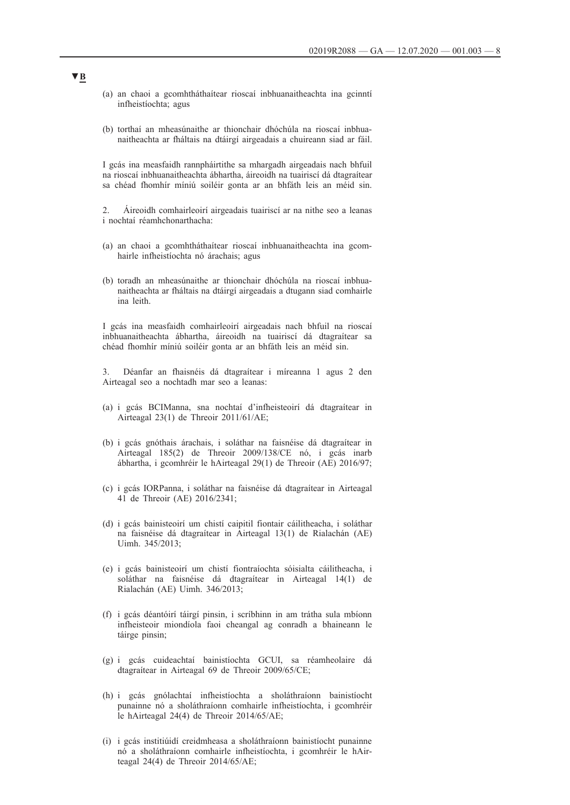- (a) an chaoi a gcomhtháthaítear rioscaí inbhuanaitheachta ina gcinntí infheistíochta; agus
- (b) torthaí an mheasúnaithe ar thionchair dhóchúla na rioscaí inbhuanaitheachta ar fháltais na dtáirgí airgeadais a chuireann siad ar fáil.

I gcás ina measfaidh rannpháirtithe sa mhargadh airgeadais nach bhfuil na rioscaí inbhuanaitheachta ábhartha, áireoidh na tuairiscí dá dtagraítear sa chéad fhomhír míniú soiléir gonta ar an bhfáth leis an méid sin.

2. Áireoidh comhairleoirí airgeadais tuairiscí ar na nithe seo a leanas i nochtaí réamhchonarthacha:

- (a) an chaoi a gcomhtháthaítear rioscaí inbhuanaitheachta ina gcomhairle infheistíochta nó árachais; agus
- (b) toradh an mheasúnaithe ar thionchair dhóchúla na rioscaí inbhuanaitheachta ar fháltais na dtáirgí airgeadais a dtugann siad comhairle ina leith.

I gcás ina measfaidh comhairleoirí airgeadais nach bhfuil na rioscaí inbhuanaitheachta ábhartha, áireoidh na tuairiscí dá dtagraítear sa chéad fhomhír míniú soiléir gonta ar an bhfáth leis an méid sin.

3. Déanfar an fhaisnéis dá dtagraítear i míreanna 1 agus 2 den Airteagal seo a nochtadh mar seo a leanas:

- (a) i gcás BCIManna, sna nochtaí d'infheisteoirí dá dtagraítear in Airteagal 23(1) de Threoir 2011/61/AE;
- (b) i gcás gnóthais árachais, i soláthar na faisnéise dá dtagraítear in Airteagal 185(2) de Threoir 2009/138/CE nó, i gcás inarb ábhartha, i gcomhréir le hAirteagal 29(1) de Threoir (AE) 2016/97;
- (c) i gcás IORPanna, i soláthar na faisnéise dá dtagraítear in Airteagal 41 de Threoir (AE) 2016/2341;
- (d) i gcás bainisteoirí um chistí caipitil fiontair cáilitheacha, i soláthar na faisnéise dá dtagraítear in Airteagal 13(1) de Rialachán (AE) Uimh. 345/2013;
- (e) i gcás bainisteoirí um chistí fiontraíochta sóisialta cáilitheacha, i soláthar na faisnéise dá dtagraítear in Airteagal 14(1) de Rialachán (AE) Uimh. 346/2013;
- (f) i gcás déantóirí táirgí pinsin, i scríbhinn in am trátha sula mbíonn infheisteoir miondíola faoi cheangal ag conradh a bhaineann le táirge pinsin;
- (g) i gcás cuideachtaí bainistíochta GCUI, sa réamheolaire dá dtagraítear in Airteagal 69 de Threoir 2009/65/CE;
- (h) i gcás gnólachtaí infheistíochta a sholáthraíonn bainistíocht punainne nó a sholáthraíonn comhairle infheistíochta, i gcomhréir le hAirteagal 24(4) de Threoir 2014/65/AE;
- (i) i gcás institiúidí creidmheasa a sholáthraíonn bainistíocht punainne nó a sholáthraíonn comhairle infheistíochta, i gcomhréir le hAirteagal 24(4) de Threoir 2014/65/AE;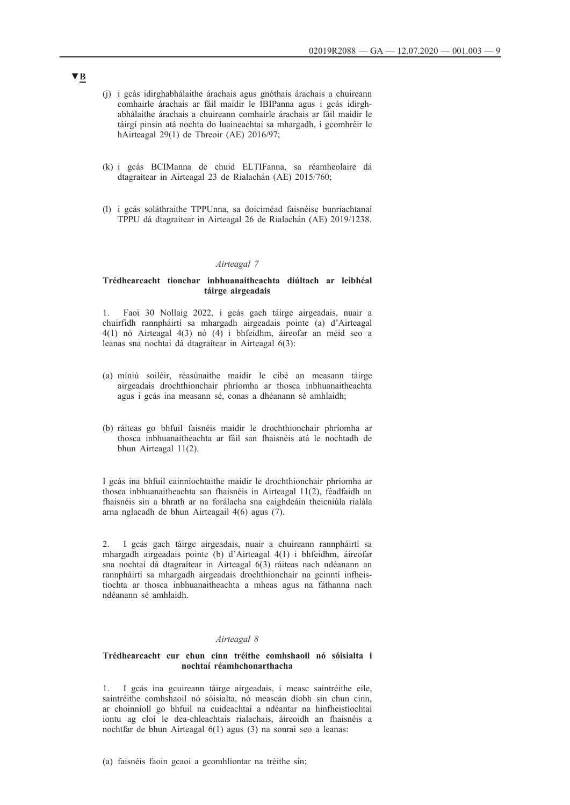- (j) i gcás idirghabhálaithe árachais agus gnóthais árachais a chuireann comhairle árachais ar fáil maidir le IBIPanna agus i gcás idirghabhálaithe árachais a chuireann comhairle árachais ar fáil maidir le táirgí pinsin atá nochta do luaineachtaí sa mhargadh, i gcomhréir le hAirteagal 29(1) de Threoir (AE) 2016/97;
- (k) i gcás BCIManna de chuid ELTIFanna, sa réamheolaire dá dtagraítear in Airteagal 23 de Rialachán (AE) 2015/760;
- (l) i gcás soláthraithe TPPUnna, sa doiciméad faisnéise bunriachtanaí TPPU dá dtagraítear in Airteagal 26 de Rialachán (AE) 2019/1238.

### *Airteagal 7*

## **Trédhearcacht tionchar inbhuanaitheachta diúltach ar leibhéal táirge airgeadais**

1. Faoi 30 Nollaig 2022, i gcás gach táirge airgeadais, nuair a chuirfidh rannpháirtí sa mhargadh airgeadais pointe (a) d'Airteagal 4(1) nó Airteagal 4(3) nó (4) i bhfeidhm, áireofar an méid seo a leanas sna nochtaí dá dtagraítear in Airteagal 6(3):

- (a) míniú soiléir, réasúnaithe maidir le cibé an measann táirge airgeadais drochthionchair phríomha ar thosca inbhuanaitheachta agus i gcás ina measann sé, conas a dhéanann sé amhlaidh;
- (b) ráiteas go bhfuil faisnéis maidir le drochthionchair phríomha ar thosca inbhuanaitheachta ar fáil san fhaisnéis atá le nochtadh de bhun Airteagal 11(2).

I gcás ina bhfuil cainníochtaithe maidir le drochthionchair phríomha ar thosca inbhuanaitheachta san fhaisnéis in Airteagal 11(2), féadfaidh an fhaisnéis sin a bhrath ar na forálacha sna caighdeáin theicniúla rialála arna nglacadh de bhun Airteagail 4(6) agus (7).

2. I gcás gach táirge airgeadais, nuair a chuireann rannpháirtí sa mhargadh airgeadais pointe (b) d'Airteagal 4(1) i bhfeidhm, áireofar sna nochtaí dá dtagraítear in Airteagal 6(3) ráiteas nach ndéanann an rannpháirtí sa mhargadh airgeadais drochthionchair na gcinntí infheistíochta ar thosca inbhuanaitheachta a mheas agus na fáthanna nach ndéanann sé amhlaidh.

## *Airteagal 8*

### **Trédhearcacht cur chun cinn tréithe comhshaoil nó sóisialta i nochtaí réamhchonarthacha**

1. I gcás ina gcuireann táirge airgeadais, i measc saintréithe eile, saintréithe comhshaoil nó sóisialta, nó meascán díobh sin chun cinn, ar choinníoll go bhfuil na cuideachtaí a ndéantar na hinfheistíochtaí iontu ag cloí le dea-chleachtais rialachais, áireoidh an fhaisnéis a nochtfar de bhun Airteagal 6(1) agus (3) na sonraí seo a leanas: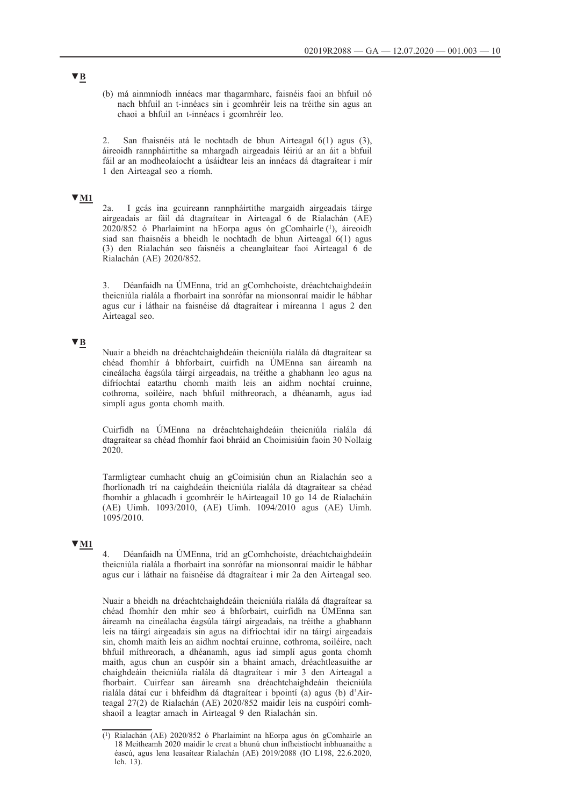(b) má ainmníodh innéacs mar thagarmharc, faisnéis faoi an bhfuil nó nach bhfuil an t-innéacs sin i gcomhréir leis na tréithe sin agus an chaoi a bhfuil an t-innéacs i gcomhréir leo.

2. San fhaisnéis atá le nochtadh de bhun Airteagal 6(1) agus (3), áireoidh rannpháirtithe sa mhargadh airgeadais léiriú ar an áit a bhfuil fáil ar an modheolaíocht a úsáidtear leis an innéacs dá dtagraítear i mír 1 den Airteagal seo a ríomh.

# **▼M1**

2a. I gcás ina gcuireann rannpháirtithe margaidh airgeadais táirge airgeadais ar fáil dá dtagraítear in Airteagal 6 de Rialachán (AE) 2020/852 ó Pharlaimint na hEorpa agus ón gComhairle (1), áireoidh siad san fhaisnéis a bheidh le nochtadh de bhun Airteagal 6(1) agus (3) den Rialachán seo faisnéis a cheanglaítear faoi Airteagal 6 de Rialachán (AE) 2020/852.

3. Déanfaidh na ÚMEnna, tríd an gComhchoiste, dréachtchaighdeáin theicniúla rialála a fhorbairt ina sonrófar na mionsonraí maidir le hábhar agus cur i láthair na faisnéise dá dtagraítear i míreanna 1 agus 2 den Airteagal seo.

## **▼B**

Nuair a bheidh na dréachtchaighdeáin theicniúla rialála dá dtagraítear sa chéad fhomhír á bhforbairt, cuirfidh na ÚMEnna san áireamh na cineálacha éagsúla táirgí airgeadais, na tréithe a ghabhann leo agus na difríochtaí eatarthu chomh maith leis an aidhm nochtaí cruinne, cothroma, soiléire, nach bhfuil míthreorach, a dhéanamh, agus iad simplí agus gonta chomh maith.

Cuirfidh na ÚMEnna na dréachtchaighdeáin theicniúla rialála dá dtagraítear sa chéad fhomhír faoi bhráid an Choimisiúin faoin 30 Nollaig 2020.

Tarmligtear cumhacht chuig an gCoimisiún chun an Rialachán seo a fhorlíonadh trí na caighdeáin theicniúla rialála dá dtagraítear sa chéad fhomhír a ghlacadh i gcomhréir le hAirteagail 10 go 14 de Rialacháin (AE) Uimh. 1093/2010, (AE) Uimh. 1094/2010 agus (AE) Uimh. 1095/2010.

## **▼M1**

4. Déanfaidh na ÚMEnna, tríd an gComhchoiste, dréachtchaighdeáin theicniúla rialála a fhorbairt ina sonrófar na mionsonraí maidir le hábhar agus cur i láthair na faisnéise dá dtagraítear i mír 2a den Airteagal seo.

Nuair a bheidh na dréachtchaighdeáin theicniúla rialála dá dtagraítear sa chéad fhomhír den mhír seo á bhforbairt, cuirfidh na ÚMEnna san áireamh na cineálacha éagsúla táirgí airgeadais, na tréithe a ghabhann leis na táirgí airgeadais sin agus na difríochtaí idir na táirgí airgeadais sin, chomh maith leis an aidhm nochtaí cruinne, cothroma, soiléire, nach bhfuil míthreorach, a dhéanamh, agus iad simplí agus gonta chomh maith, agus chun an cuspóir sin a bhaint amach, dréachtleasuithe ar chaighdeáin theicniúla rialála dá dtagraítear i mír 3 den Airteagal a fhorbairt. Cuirfear san áireamh sna dréachtchaighdeáin theicniúla rialála dátaí cur i bhfeidhm dá dtagraítear i bpointí (a) agus (b) d'Airteagal 27(2) de Rialachán (AE) 2020/852 maidir leis na cuspóirí comhshaoil a leagtar amach in Airteagal 9 den Rialachán sin.

<sup>(1)</sup> Rialachán (AE) 2020/852 ó Pharlaimint na hEorpa agus ón gComhairle an 18 Meitheamh 2020 maidir le creat a bhunú chun infheistíocht inbhuanaithe a éascú, agus lena leasaítear Rialachán (AE) 2019/2088 (IO L198, 22.6.2020, lch. 13).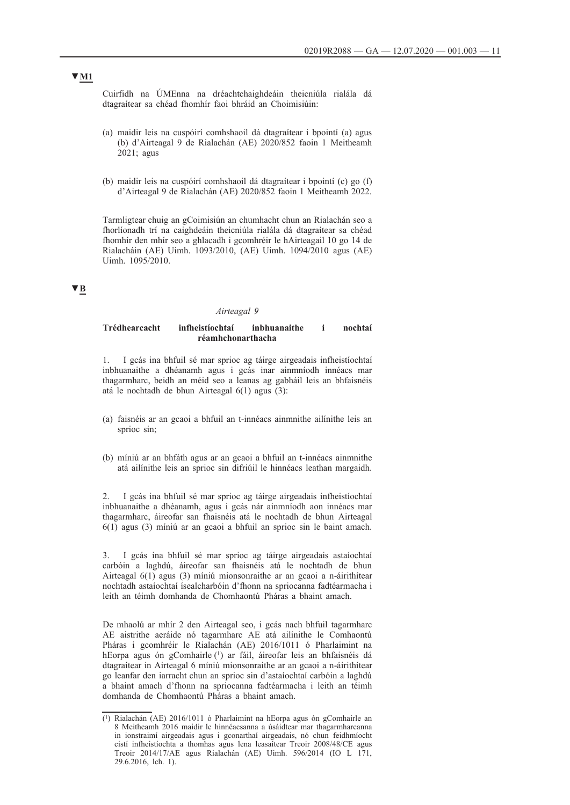Cuirfidh na ÚMEnna na dréachtchaighdeáin theicniúla rialála dá dtagraítear sa chéad fhomhír faoi bhráid an Choimisiúin:

- (a) maidir leis na cuspóirí comhshaoil dá dtagraítear i bpointí (a) agus (b) d'Airteagal 9 de Rialachán (AE) 2020/852 faoin 1 Meitheamh 2021; agus
- (b) maidir leis na cuspóirí comhshaoil dá dtagraítear i bpointí (c) go (f) d'Airteagal 9 de Rialachán (AE) 2020/852 faoin 1 Meitheamh 2022.

Tarmligtear chuig an gCoimisiún an chumhacht chun an Rialachán seo a fhorlíonadh trí na caighdeáin theicniúla rialála dá dtagraítear sa chéad fhomhír den mhír seo a ghlacadh i gcomhréir le hAirteagail 10 go 14 de Rialacháin (AE) Uimh. 1093/2010, (AE) Uimh. 1094/2010 agus (AE) Uimh. 1095/2010.

# **▼B**

#### *Airteagal 9*

## **Trédhearcacht infheistíochtaí inbhuanaithe i nochtaí réamhchonarthacha**

1. I gcás ina bhfuil sé mar sprioc ag táirge airgeadais infheistíochtaí inbhuanaithe a dhéanamh agus i gcás inar ainmníodh innéacs mar thagarmharc, beidh an méid seo a leanas ag gabháil leis an bhfaisnéis atá le nochtadh de bhun Airteagal 6(1) agus (3):

- (a) faisnéis ar an gcaoi a bhfuil an t-innéacs ainmnithe ailínithe leis an sprioc sin;
- (b) míniú ar an bhfáth agus ar an gcaoi a bhfuil an t-innéacs ainmnithe atá ailínithe leis an sprioc sin difriúil le hinnéacs leathan margaidh.

2. I gcás ina bhfuil sé mar sprioc ag táirge airgeadais infheistíochtaí inbhuanaithe a dhéanamh, agus i gcás nár ainmníodh aon innéacs mar thagarmharc, áireofar san fhaisnéis atá le nochtadh de bhun Airteagal 6(1) agus (3) míniú ar an gcaoi a bhfuil an sprioc sin le baint amach.

3. I gcás ina bhfuil sé mar sprioc ag táirge airgeadais astaíochtaí carbóin a laghdú, áireofar san fhaisnéis atá le nochtadh de bhun Airteagal 6(1) agus (3) míniú mionsonraithe ar an gcaoi a n-áirithítear nochtadh astaíochtaí ísealcharbóin d'fhonn na spriocanna fadtéarmacha i leith an téimh domhanda de Chomhaontú Pháras a bhaint amach.

De mhaolú ar mhír 2 den Airteagal seo, i gcás nach bhfuil tagarmharc AE aistrithe aeráide nó tagarmharc AE atá ailínithe le Comhaontú Pháras i gcomhréir le Rialachán (AE) 2016/1011 ó Pharlaimint na hEorpa agus ón gComhairle (1) ar fáil, áireofar leis an bhfaisnéis dá dtagraítear in Airteagal 6 míniú mionsonraithe ar an gcaoi a n-áirithítear go leanfar den iarracht chun an sprioc sin d'astaíochtaí carbóin a laghdú a bhaint amach d'fhonn na spriocanna fadtéarmacha i leith an téimh domhanda de Chomhaontú Pháras a bhaint amach.

# **▼M1**

<sup>(1)</sup> Rialachán (AE) 2016/1011 ó Pharlaimint na hEorpa agus ón gComhairle an 8 Meitheamh 2016 maidir le hinnéacsanna a úsáidtear mar thagarmharcanna in ionstraimí airgeadais agus i gconarthaí airgeadais, nó chun feidhmíocht cistí infheistíochta a thomhas agus lena leasaítear Treoir 2008/48/CE agus Treoir 2014/17/AE agus Rialachán (AE) Uimh. 596/2014 (IO L 171, 29.6.2016, lch. 1).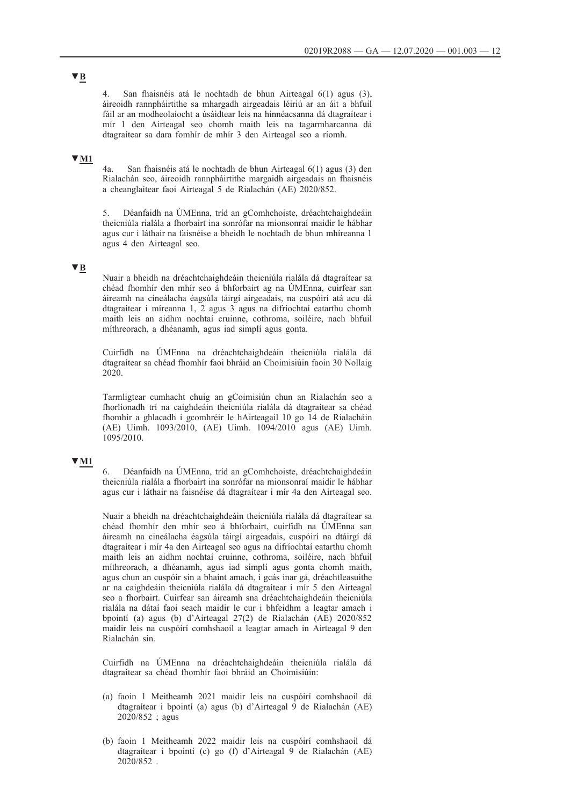4. San fhaisnéis atá le nochtadh de bhun Airteagal 6(1) agus (3), áireoidh rannpháirtithe sa mhargadh airgeadais léiriú ar an áit a bhfuil fáil ar an modheolaíocht a úsáidtear leis na hinnéacsanna dá dtagraítear i mír 1 den Airteagal seo chomh maith leis na tagarmharcanna dá dtagraítear sa dara fomhír de mhír 3 den Airteagal seo a ríomh.

# **▼M1**

4a. San fhaisnéis atá le nochtadh de bhun Airteagal 6(1) agus (3) den Rialachán seo, áireoidh rannpháirtithe margaidh airgeadais an fhaisnéis a cheanglaítear faoi Airteagal 5 de Rialachán (AE) 2020/852.

5. Déanfaidh na ÚMEnna, tríd an gComhchoiste, dréachtchaighdeáin theicniúla rialála a fhorbairt ina sonrófar na mionsonraí maidir le hábhar agus cur i láthair na faisnéise a bheidh le nochtadh de bhun mhíreanna 1 agus 4 den Airteagal seo.

# **▼B**

Nuair a bheidh na dréachtchaighdeáin theicniúla rialála dá dtagraítear sa chéad fhomhír den mhír seo á bhforbairt ag na ÚMEnna, cuirfear san áireamh na cineálacha éagsúla táirgí airgeadais, na cuspóirí atá acu dá dtagraítear i míreanna 1, 2 agus 3 agus na difríochtaí eatarthu chomh maith leis an aidhm nochtaí cruinne, cothroma, soiléire, nach bhfuil míthreorach, a dhéanamh, agus iad simplí agus gonta.

Cuirfidh na ÚMEnna na dréachtchaighdeáin theicniúla rialála dá dtagraítear sa chéad fhomhír faoi bhráid an Choimisiúin faoin 30 Nollaig 2020.

Tarmligtear cumhacht chuig an gCoimisiún chun an Rialachán seo a fhorlíonadh trí na caighdeáin theicniúla rialála dá dtagraítear sa chéad fhomhír a ghlacadh i gcomhréir le hAirteagail 10 go 14 de Rialacháin (AE) Uimh. 1093/2010, (AE) Uimh. 1094/2010 agus (AE) Uimh. 1095/2010.

## **▼M1**

6. Déanfaidh na ÚMEnna, tríd an gComhchoiste, dréachtchaighdeáin theicniúla rialála a fhorbairt ina sonrófar na mionsonraí maidir le hábhar agus cur i láthair na faisnéise dá dtagraítear i mír 4a den Airteagal seo.

Nuair a bheidh na dréachtchaighdeáin theicniúla rialála dá dtagraítear sa chéad fhomhír den mhír seo á bhforbairt, cuirfidh na ÚMEnna san áireamh na cineálacha éagsúla táirgí airgeadais, cuspóirí na dtáirgí dá dtagraítear i mír 4a den Airteagal seo agus na difríochtaí eatarthu chomh maith leis an aidhm nochtaí cruinne, cothroma, soiléire, nach bhfuil míthreorach, a dhéanamh, agus iad simplí agus gonta chomh maith, agus chun an cuspóir sin a bhaint amach, i gcás inar gá, dréachtleasuithe ar na caighdeáin theicniúla rialála dá dtagraítear i mír 5 den Airteagal seo a fhorbairt. Cuirfear san áireamh sna dréachtchaighdeáin theicniúla rialála na dátaí faoi seach maidir le cur i bhfeidhm a leagtar amach i bpointí (a) agus (b) d'Airteagal 27(2) de Rialachán (AE) 2020/852 maidir leis na cuspóirí comhshaoil a leagtar amach in Airteagal 9 den Rialachán sin.

Cuirfidh na ÚMEnna na dréachtchaighdeáin theicniúla rialála dá dtagraítear sa chéad fhomhír faoi bhráid an Choimisiúin:

- (a) faoin 1 Meitheamh 2021 maidir leis na cuspóirí comhshaoil dá dtagraítear i bpointí (a) agus (b) d'Airteagal 9 de Rialachán (AE) 2020/852 ; agus
- (b) faoin 1 Meitheamh 2022 maidir leis na cuspóirí comhshaoil dá dtagraítear i bpointí (c) go (f) d'Airteagal 9 de Rialachán (AE) 2020/852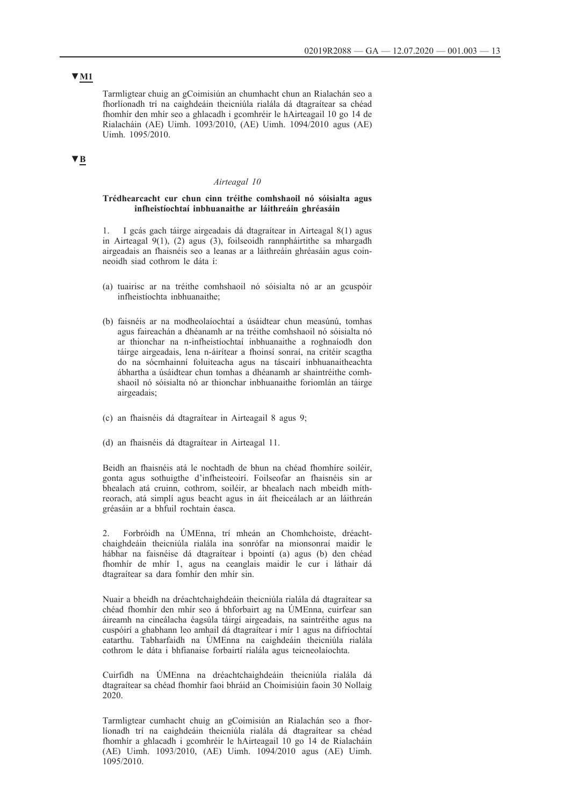# **▼M1**

Tarmligtear chuig an gCoimisiún an chumhacht chun an Rialachán seo a fhorlíonadh trí na caighdeáin theicniúla rialála dá dtagraítear sa chéad fhomhír den mhír seo a ghlacadh i gcomhréir le hAirteagail 10 go 14 de Rialacháin (AE) Uimh. 1093/2010, (AE) Uimh. 1094/2010 agus (AE) Uimh. 1095/2010.

# **▼B**

### *Airteagal 10*

## **Trédhearcacht cur chun cinn tréithe comhshaoil nó sóisialta agus infheistíochtaí inbhuanaithe ar láithreáin ghréasáin**

1. I gcás gach táirge airgeadais dá dtagraítear in Airteagal 8(1) agus in Airteagal 9(1), (2) agus (3), foilseoidh rannpháirtithe sa mhargadh airgeadais an fhaisnéis seo a leanas ar a láithreáin ghréasáin agus coinneoidh siad cothrom le dáta í:

- (a) tuairisc ar na tréithe comhshaoil nó sóisialta nó ar an gcuspóir infheistíochta inbhuanaithe;
- (b) faisnéis ar na modheolaíochtaí a úsáidtear chun measúnú, tomhas agus faireachán a dhéanamh ar na tréithe comhshaoil nó sóisialta nó ar thionchar na n-infheistíochtaí inbhuanaithe a roghnaíodh don táirge airgeadais, lena n-áirítear a fhoinsí sonraí, na critéir scagtha do na sócmhainní foluiteacha agus na táscairí inbhuanaitheachta ábhartha a úsáidtear chun tomhas a dhéanamh ar shaintréithe comhshaoil nó sóisialta nó ar thionchar inbhuanaithe foriomlán an táirge airgeadais;
- (c) an fhaisnéis dá dtagraítear in Airteagail 8 agus 9;
- (d) an fhaisnéis dá dtagraítear in Airteagal 11.

Beidh an fhaisnéis atá le nochtadh de bhun na chéad fhomhíre soiléir, gonta agus sothuigthe d'infheisteoirí. Foilseofar an fhaisnéis sin ar bhealach atá cruinn, cothrom, soiléir, ar bhealach nach mbeidh míthreorach, atá simplí agus beacht agus in áit fheiceálach ar an láithreán gréasáin ar a bhfuil rochtain éasca.

2. Forbróidh na ÚMEnna, trí mheán an Chomhchoiste, dréachtchaighdeáin theicniúla rialála ina sonrófar na mionsonraí maidir le hábhar na faisnéise dá dtagraítear i bpointí (a) agus (b) den chéad fhomhír de mhír 1, agus na ceanglais maidir le cur i láthair dá dtagraítear sa dara fomhír den mhír sin.

Nuair a bheidh na dréachtchaighdeáin theicniúla rialála dá dtagraítear sa chéad fhomhír den mhír seo á bhforbairt ag na ÚMEnna, cuirfear san áireamh na cineálacha éagsúla táirgí airgeadais, na saintréithe agus na cuspóirí a ghabhann leo amhail dá dtagraítear i mír 1 agus na difríochtaí eatarthu. Tabharfaidh na ÚMEnna na caighdeáin theicniúla rialála cothrom le dáta i bhfianaise forbairtí rialála agus teicneolaíochta.

Cuirfidh na ÚMEnna na dréachtchaighdeáin theicniúla rialála dá dtagraítear sa chéad fhomhír faoi bhráid an Choimisiúin faoin 30 Nollaig 2020.

Tarmligtear cumhacht chuig an gCoimisiún an Rialachán seo a fhorlíonadh trí na caighdeáin theicniúla rialála dá dtagraítear sa chéad fhomhír a ghlacadh i gcomhréir le hAirteagail 10 go 14 de Rialacháin (AE) Uimh. 1093/2010, (AE) Uimh. 1094/2010 agus (AE) Uimh. 1095/2010.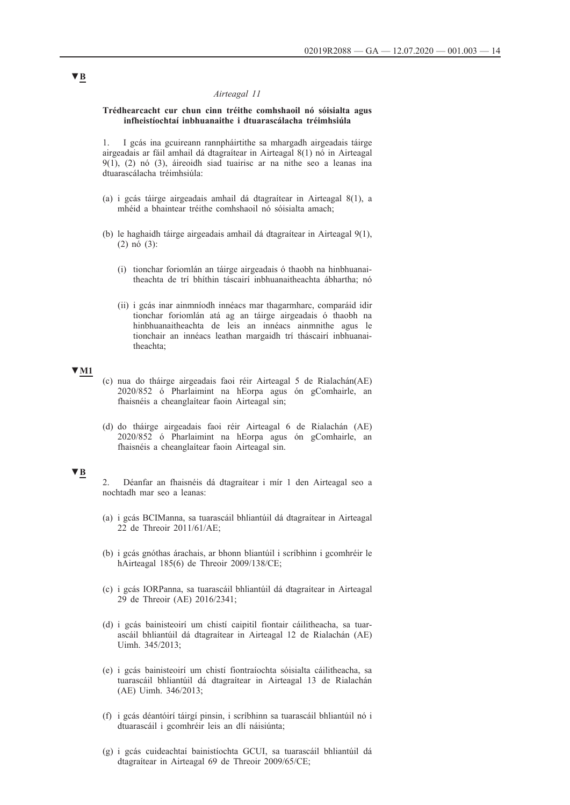## *Airteagal 11*

### **Trédhearcacht cur chun cinn tréithe comhshaoil nó sóisialta agus infheistíochtaí inbhuanaithe i dtuarascálacha tréimhsiúla**

1. I gcás ina gcuireann rannpháirtithe sa mhargadh airgeadais táirge airgeadais ar fáil amhail dá dtagraítear in Airteagal 8(1) nó in Airteagal 9(1), (2) nó (3), áireoidh siad tuairisc ar na nithe seo a leanas ina dtuarascálacha tréimhsiúla:

- (a) i gcás táirge airgeadais amhail dá dtagraítear in Airteagal 8(1), a mhéid a bhaintear tréithe comhshaoil nó sóisialta amach;
- (b) le haghaidh táirge airgeadais amhail dá dtagraítear in Airteagal 9(1), (2) nó (3):
	- (i) tionchar foriomlán an táirge airgeadais ó thaobh na hinbhuanaitheachta de trí bhíthin táscairí inbhuanaitheachta ábhartha; nó
	- (ii) i gcás inar ainmníodh innéacs mar thagarmharc, comparáid idir tionchar foriomlán atá ag an táirge airgeadais ó thaobh na hinbhuanaitheachta de leis an innéacs ainmnithe agus le tionchair an innéacs leathan margaidh trí tháscairí inbhuanaitheachta;

## **▼M1**

- (c) nua do tháirge airgeadais faoi réir Airteagal 5 de Rialachán(AE) 2020/852 ó Pharlaimint na hEorpa agus ón gComhairle, an fhaisnéis a cheanglaítear faoin Airteagal sin;
- (d) do tháirge airgeadais faoi réir Airteagal 6 de Rialachán (AE) 2020/852 ó Pharlaimint na hEorpa agus ón gComhairle, an fhaisnéis a cheanglaítear faoin Airteagal sin.

### **▼B**

- 2. Déanfar an fhaisnéis dá dtagraítear i mír 1 den Airteagal seo a nochtadh mar seo a leanas:
- (a) i gcás BCIManna, sa tuarascáil bhliantúil dá dtagraítear in Airteagal 22 de Threoir 2011/61/AE;
- (b) i gcás gnóthas árachais, ar bhonn bliantúil i scríbhinn i gcomhréir le hAirteagal 185(6) de Threoir 2009/138/CE;
- (c) i gcás IORPanna, sa tuarascáil bhliantúil dá dtagraítear in Airteagal 29 de Threoir (AE) 2016/2341;
- (d) i gcás bainisteoirí um chistí caipitil fiontair cáilitheacha, sa tuarascáil bhliantúil dá dtagraítear in Airteagal 12 de Rialachán (AE) Uimh. 345/2013;
- (e) i gcás bainisteoirí um chistí fiontraíochta sóisialta cáilitheacha, sa tuarascáil bhliantúil dá dtagraítear in Airteagal 13 de Rialachán (AE) Uimh. 346/2013;
- (f) i gcás déantóirí táirgí pinsin, i scríbhinn sa tuarascáil bhliantúil nó i dtuarascáil i gcomhréir leis an dlí náisiúnta;
- (g) i gcás cuideachtaí bainistíochta GCUI, sa tuarascáil bhliantúil dá dtagraítear in Airteagal 69 de Threoir 2009/65/CE;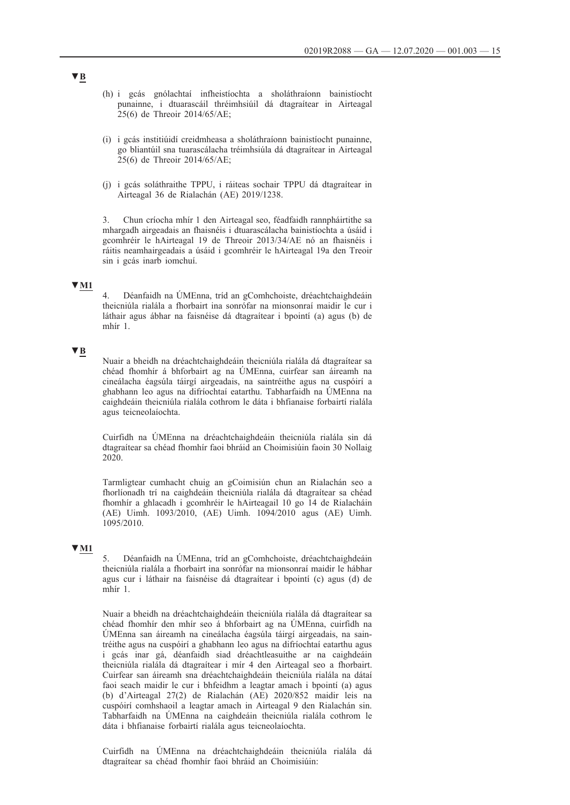- (h) i gcás gnólachtaí infheistíochta a sholáthraíonn bainistíocht punainne, i dtuarascáil thréimhsiúil dá dtagraítear in Airteagal 25(6) de Threoir 2014/65/AE;
- (i) i gcás institiúidí creidmheasa a sholáthraíonn bainistíocht punainne, go bliantúil sna tuarascálacha tréimhsiúla dá dtagraítear in Airteagal 25(6) de Threoir 2014/65/AE;
- (j) i gcás soláthraithe TPPU, i ráiteas sochair TPPU dá dtagraítear in Airteagal 36 de Rialachán (AE) 2019/1238.

3. Chun críocha mhír 1 den Airteagal seo, féadfaidh rannpháirtithe sa mhargadh airgeadais an fhaisnéis i dtuarascálacha bainistíochta a úsáid i gcomhréir le hAirteagal 19 de Threoir 2013/34/AE nó an fhaisnéis i ráitis neamhairgeadais a úsáid i gcomhréir le hAirteagal 19a den Treoir sin i gcás inarb iomchuí.

# **▼M1**

4. Déanfaidh na ÚMEnna, tríd an gComhchoiste, dréachtchaighdeáin theicniúla rialála a fhorbairt ina sonrófar na mionsonraí maidir le cur i láthair agus ábhar na faisnéise dá dtagraítear i bpointí (a) agus (b) de mhír 1.

## **▼B**

Nuair a bheidh na dréachtchaighdeáin theicniúla rialála dá dtagraítear sa chéad fhomhír á bhforbairt ag na ÚMEnna, cuirfear san áireamh na cineálacha éagsúla táirgí airgeadais, na saintréithe agus na cuspóirí a ghabhann leo agus na difríochtaí eatarthu. Tabharfaidh na ÚMEnna na caighdeáin theicniúla rialála cothrom le dáta i bhfianaise forbairtí rialála agus teicneolaíochta.

Cuirfidh na ÚMEnna na dréachtchaighdeáin theicniúla rialála sin dá dtagraítear sa chéad fhomhír faoi bhráid an Choimisiúin faoin 30 Nollaig 2020.

Tarmligtear cumhacht chuig an gCoimisiún chun an Rialachán seo a fhorlíonadh trí na caighdeáin theicniúla rialála dá dtagraítear sa chéad fhomhír a ghlacadh i gcomhréir le hAirteagail 10 go 14 de Rialacháin (AE) Uimh. 1093/2010, (AE) Uimh. 1094/2010 agus (AE) Uimh. 1095/2010.

## **▼M1**

5. Déanfaidh na ÚMEnna, tríd an gComhchoiste, dréachtchaighdeáin theicniúla rialála a fhorbairt ina sonrófar na mionsonraí maidir le hábhar agus cur i láthair na faisnéise dá dtagraítear i bpointí (c) agus (d) de mhír 1.

Nuair a bheidh na dréachtchaighdeáin theicniúla rialála dá dtagraítear sa chéad fhomhír den mhír seo á bhforbairt ag na ÚMEnna, cuirfidh na ÚMEnna san áireamh na cineálacha éagsúla táirgí airgeadais, na saintréithe agus na cuspóirí a ghabhann leo agus na difríochtaí eatarthu agus i gcás inar gá, déanfaidh siad dréachtleasuithe ar na caighdeáin theicniúla rialála dá dtagraítear i mír 4 den Airteagal seo a fhorbairt. Cuirfear san áireamh sna dréachtchaighdeáin theicniúla rialála na dátaí faoi seach maidir le cur i bhfeidhm a leagtar amach i bpointí (a) agus (b) d'Airteagal 27(2) de Rialachán (AE) 2020/852 maidir leis na cuspóirí comhshaoil a leagtar amach in Airteagal 9 den Rialachán sin. Tabharfaidh na ÚMEnna na caighdeáin theicniúla rialála cothrom le dáta i bhfianaise forbairtí rialála agus teicneolaíochta.

Cuirfidh na ÚMEnna na dréachtchaighdeáin theicniúla rialála dá dtagraítear sa chéad fhomhír faoi bhráid an Choimisiúin: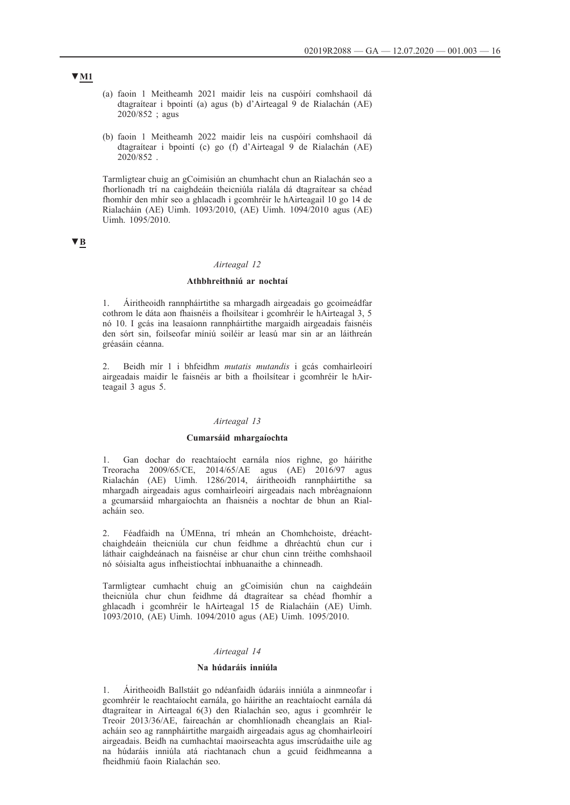- (a) faoin 1 Meitheamh 2021 maidir leis na cuspóirí comhshaoil dá dtagraítear i bpointí (a) agus (b) d'Airteagal 9 de Rialachán (AE) 2020/852 ; agus
- (b) faoin 1 Meitheamh 2022 maidir leis na cuspóirí comhshaoil dá dtagraítear i bpointí (c) go (f) d'Airteagal 9 de Rialachán (AE) 2020/852 .

Tarmligtear chuig an gCoimisiún an chumhacht chun an Rialachán seo a fhorlíonadh trí na caighdeáin theicniúla rialála dá dtagraítear sa chéad fhomhír den mhír seo a ghlacadh i gcomhréir le hAirteagail 10 go 14 de Rialacháin (AE) Uimh. 1093/2010, (AE) Uimh. 1094/2010 agus (AE) Uimh. 1095/2010.

## **▼B**

### *Airteagal 12*

## **Athbhreithniú ar nochtaí**

1. Áiritheoidh rannpháirtithe sa mhargadh airgeadais go gcoimeádfar cothrom le dáta aon fhaisnéis a fhoilsítear i gcomhréir le hAirteagal 3, 5 nó 10. I gcás ina leasaíonn rannpháirtithe margaidh airgeadais faisnéis den sórt sin, foilseofar míniú soiléir ar leasú mar sin ar an láithreán gréasáin céanna.

2. Beidh mír 1 i bhfeidhm *mutatis mutandis* i gcás comhairleoirí airgeadais maidir le faisnéis ar bith a fhoilsítear i gcomhréir le hAirteagail 3 agus 5.

### *Airteagal 13*

## **Cumarsáid mhargaíochta**

1. Gan dochar do reachtaíocht earnála níos righne, go háirithe Treoracha 2009/65/CE, 2014/65/AE agus (AE) 2016/97 agus Rialachán (AE) Uimh. 1286/2014, áiritheoidh rannpháirtithe sa mhargadh airgeadais agus comhairleoirí airgeadais nach mbréagnaíonn a gcumarsáid mhargaíochta an fhaisnéis a nochtar de bhun an Rialacháin seo.

2. Féadfaidh na ÚMEnna, trí mheán an Chomhchoiste, dréachtchaighdeáin theicniúla cur chun feidhme a dhréachtú chun cur i láthair caighdeánach na faisnéise ar chur chun cinn tréithe comhshaoil nó sóisialta agus infheistíochtaí inbhuanaithe a chinneadh.

Tarmligtear cumhacht chuig an gCoimisiún chun na caighdeáin theicniúla chur chun feidhme dá dtagraítear sa chéad fhomhír a ghlacadh i gcomhréir le hAirteagal 15 de Rialacháin (AE) Uimh. 1093/2010, (AE) Uimh. 1094/2010 agus (AE) Uimh. 1095/2010.

### *Airteagal 14*

#### **Na húdaráis inniúla**

1. Áiritheoidh Ballstáit go ndéanfaidh údaráis inniúla a ainmneofar i gcomhréir le reachtaíocht earnála, go háirithe an reachtaíocht earnála dá dtagraítear in Airteagal 6(3) den Rialachán seo, agus i gcomhréir le Treoir 2013/36/AE, faireachán ar chomhlíonadh cheanglais an Rialacháin seo ag rannpháirtithe margaidh airgeadais agus ag chomhairleoirí airgeadais. Beidh na cumhachtaí maoirseachta agus imscrúdaithe uile ag na húdaráis inniúla atá riachtanach chun a gcuid feidhmeanna a fheidhmiú faoin Rialachán seo.

## **▼M1**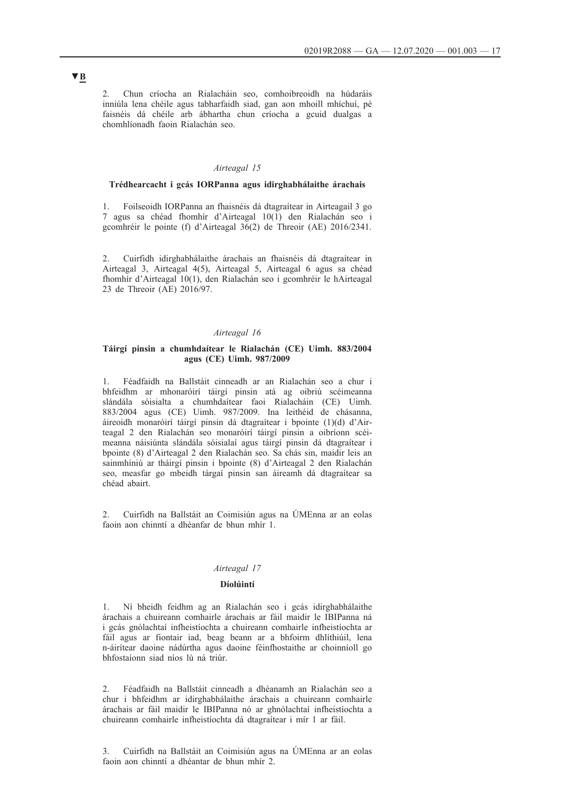2. Chun críocha an Rialacháin seo, comhoibreoidh na húdaráis inniúla lena chéile agus tabharfaidh siad, gan aon mhoill mhíchuí, pé faisnéis dá chéile arb ábhartha chun críocha a gcuid dualgas a chomhlíonadh faoin Rialachán seo.

### *Airteagal 15*

## **Trédhearcacht i gcás IORPanna agus idirghabhálaithe árachais**

1. Foilseoidh IORPanna an fhaisnéis dá dtagraítear in Airteagail 3 go 7 agus sa chéad fhomhír d'Airteagal 10(1) den Rialachán seo i gcomhréir le pointe (f) d'Airteagal 36(2) de Threoir (AE) 2016/2341.

2. Cuirfidh idirghabhálaithe árachais an fhaisnéis dá dtagraítear in Airteagal 3, Airteagal 4(5), Airteagal 5, Airteagal 6 agus sa chéad fhomhír d'Airteagal 10(1), den Rialachán seo i gcomhréir le hAirteagal 23 de Threoir (AE) 2016/97.

## *Airteagal 16*

## **Táirgí pinsin a chumhdaítear le Rialachán (CE) Uimh. 883/2004 agus (CE) Uimh. 987/2009**

1. Féadfaidh na Ballstáit cinneadh ar an Rialachán seo a chur i bhfeidhm ar mhonaróirí táirgí pinsin atá ag oibriú scéimeanna slándála sóisialta a chumhdaítear faoi Rialacháin (CE) Uimh. 883/2004 agus (CE) Uimh. 987/2009. Ina leithéid de chásanna, áireoidh monaróirí táirgí pinsin dá dtagraítear i bpointe (1)(d) d'Airteagal 2 den Rialachán seo monaróirí táirgí pinsin a oibríonn scéimeanna náisiúnta slándála sóisialaí agus táirgí pinsin dá dtagraítear i bpointe (8) d'Airteagal 2 den Rialachán seo. Sa chás sin, maidir leis an sainmhíniú ar tháirgí pinsin i bpointe (8) d'Airteagal 2 den Rialachán seo, measfar go mbeidh tárgaí pinsin san áireamh dá dtagraítear sa chéad abairt.

2. Cuirfidh na Ballstáit an Coimisiún agus na ÚMEnna ar an eolas faoin aon chinntí a dhéanfar de bhun mhír 1.

### *Airteagal 17*

## **Díolúintí**

1. Ní bheidh feidhm ag an Rialachán seo i gcás idirghabhálaithe árachais a chuireann comhairle árachais ar fáil maidir le IBIPanna ná i gcás gnólachtaí infheistíochta a chuireann comhairle infheistíochta ar fáil agus ar fiontair iad, beag beann ar a bhfoirm dhlíthiúil, lena n-áirítear daoine nádúrtha agus daoine féinfhostaithe ar choinníoll go bhfostaíonn siad níos lú ná triúr.

2. Féadfaidh na Ballstáit cinneadh a dhéanamh an Rialachán seo a chur i bhfeidhm ar idirghabhálaithe árachais a chuireann comhairle árachais ar fáil maidir le IBIPanna nó ar ghnólachtaí infheistíochta a chuireann comhairle infheistíochta dá dtagraítear i mír 1 ar fáil.

3. Cuirfidh na Ballstáit an Coimisiún agus na ÚMEnna ar an eolas faoin aon chinntí a dhéantar de bhun mhír 2.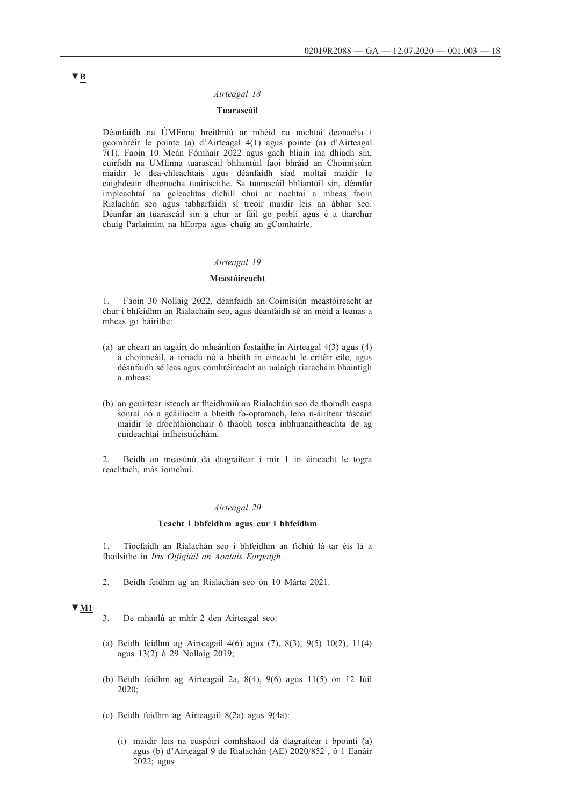### *Airteagal 18*

## **Tuarascáil**

Déanfaidh na ÚMEnna breithniú ar mhéid na nochtaí deonacha i gcomhréir le pointe (a) d'Airteagal 4(1) agus pointe (a) d'Airteagal 7(1). Faoin 10 Meán Fómhair 2022 agus gach bliain ina dhiadh sin, cuirfidh na ÚMEnna tuarascáil bhliantúil faoi bhráid an Choimisiúin maidir le dea-chleachtais agus déanfaidh siad moltaí maidir le caighdeáin dheonacha tuairiscithe. Sa tuarascáil bhliantúil sin, déanfar impleachtaí na gcleachtas díchill chuí ar nochtaí a mheas faoin Rialachán seo agus tabharfaidh sí treoir maidir leis an ábhar seo. Déanfar an tuarascáil sin a chur ar fáil go poiblí agus é a tharchur chuig Parlaimint na hEorpa agus chuig an gComhairle.

### *Airteagal 19*

### **Meastóireacht**

1. Faoin 30 Nollaig 2022, déanfaidh an Coimisiún meastóireacht ar chur i bhfeidhm an Rialacháin seo, agus déanfaidh sé an méid a leanas a mheas go háirithe:

- (a) ar cheart an tagairt do mheánlíon fostaithe in Airteagal 4(3) agus (4) a choinneáil, a ionadú nó a bheith in éineacht le critéir eile, agus déanfaidh sé leas agus comhréireacht an ualaigh riaracháin bhaintigh a mheas;
- (b) an gcuirtear isteach ar fheidhmiú an Rialacháin seo de thoradh easpa sonraí nó a gcáilíocht a bheith fo-optamach, lena n-áirítear táscairí maidir le drochthionchair ó thaobh tosca inbhuanaitheachta de ag cuideachtaí infheistiúcháin.

2. Beidh an measúnú dá dtagraítear i mír 1 in éineacht le togra reachtach, más iomchuí.

### *Airteagal 20*

### **Teacht i bhfeidhm agus cur i bhfeidhm**

1. Tiocfaidh an Rialachán seo i bhfeidhm an fichiú lá tar éis lá a fhoilsithe in *Iris Oifigiúil an Aontais Eorpaigh*.

2. Beidh feidhm ag an Rialachán seo ón 10 Márta 2021.

## **▼M1**

- 3. De mhaolú ar mhír 2 den Airteagal seo:
- (a) Beidh feidhm ag Airteagail 4(6) agus (7), 8(3), 9(5) 10(2), 11(4) agus 13(2) ó 29 Nollaig 2019;
- (b) Beidh feidhm ag Airteagail 2a, 8(4), 9(6) agus 11(5) ón 12 Iúil 2020;
- (c) Beidh feidhm ag Airteagail 8(2a) agus 9(4a):
	- (i) maidir leis na cuspóirí comhshaoil dá dtagraítear i bpointí (a) agus (b) d'Airteagal 9 de Rialachán (AE) 2020/852 , ó 1 Eanáir 2022; agus